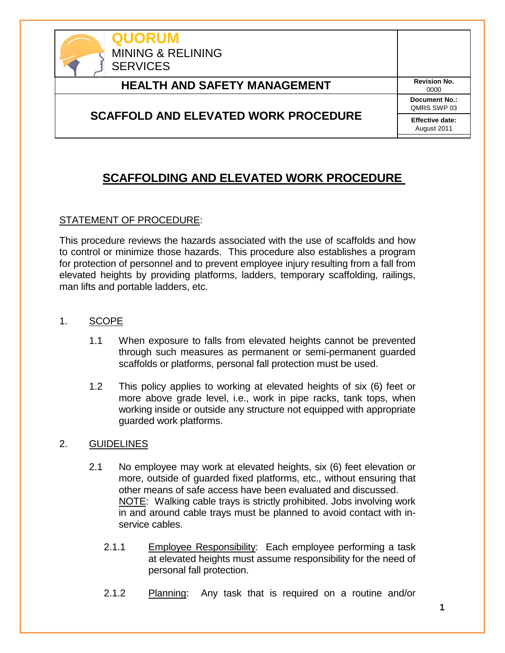

# **HEALTH AND SAFETY MANAGEMENT** Revision No.

### **SCAFFOLD AND ELEVATED WORK PROCEDURE**

0000 **Document No.:** QMRS SWP 03 **Effective date:** August 2011

# **SCAFFOLDING AND ELEVATED WORK PROCEDURE**

#### STATEMENT OF PROCEDURE:

This procedure reviews the hazards associated with the use of scaffolds and how to control or minimize those hazards. This procedure also establishes a program for protection of personnel and to prevent employee injury resulting from a fall from elevated heights by providing platforms, ladders, temporary scaffolding, railings, man lifts and portable ladders, etc.

- 1. SCOPE
	- 1.1 When exposure to falls from elevated heights cannot be prevented through such measures as permanent or semi-permanent guarded scaffolds or platforms, personal fall protection must be used.
	- 1.2 This policy applies to working at elevated heights of six (6) feet or more above grade level, i.e., work in pipe racks, tank tops, when working inside or outside any structure not equipped with appropriate guarded work platforms.

#### 2. GUIDELINES

- 2.1 No employee may work at elevated heights, six (6) feet elevation or more, outside of guarded fixed platforms, etc., without ensuring that other means of safe access have been evaluated and discussed. NOTE: Walking cable trays is strictly prohibited. Jobs involving work in and around cable trays must be planned to avoid contact with inservice cables.
	- 2.1.1 Employee Responsibility: Each employee performing a task at elevated heights must assume responsibility for the need of personal fall protection.
	- 2.1.2 Planning: Any task that is required on a routine and/or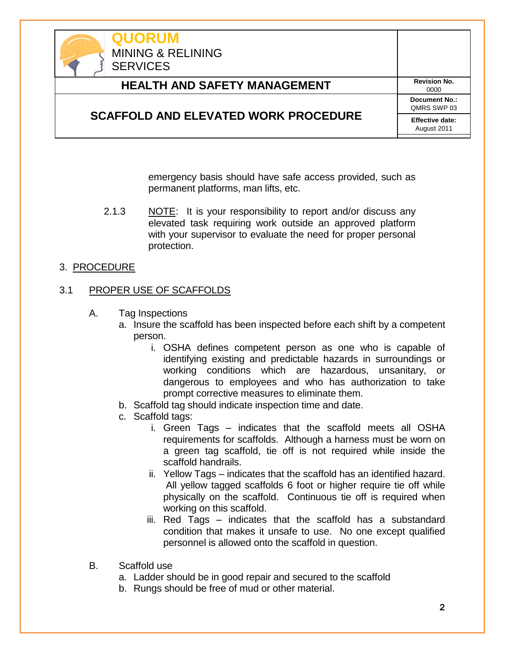

emergency basis should have safe access provided, such as permanent platforms, man lifts, etc.

2.1.3 NOTE: It is your responsibility to report and/or discuss any elevated task requiring work outside an approved platform with your supervisor to evaluate the need for proper personal protection.

#### 3. PROCEDURE

#### 3.1 PROPER USE OF SCAFFOLDS

- A. Tag Inspections
	- a. Insure the scaffold has been inspected before each shift by a competent person.
		- i. OSHA defines competent person as one who is capable of identifying existing and predictable hazards in surroundings or working conditions which are hazardous, unsanitary, or dangerous to employees and who has authorization to take prompt corrective measures to eliminate them.
	- b. Scaffold tag should indicate inspection time and date.
	- c. Scaffold tags:
		- i. Green Tags indicates that the scaffold meets all OSHA requirements for scaffolds. Although a harness must be worn on a green tag scaffold, tie off is not required while inside the scaffold handrails.
		- ii. Yellow Tags indicates that the scaffold has an identified hazard. All yellow tagged scaffolds 6 foot or higher require tie off while physically on the scaffold. Continuous tie off is required when working on this scaffold.
		- iii. Red Tags indicates that the scaffold has a substandard condition that makes it unsafe to use. No one except qualified personnel is allowed onto the scaffold in question.
- B. Scaffold use
	- a. Ladder should be in good repair and secured to the scaffold
	- b. Rungs should be free of mud or other material.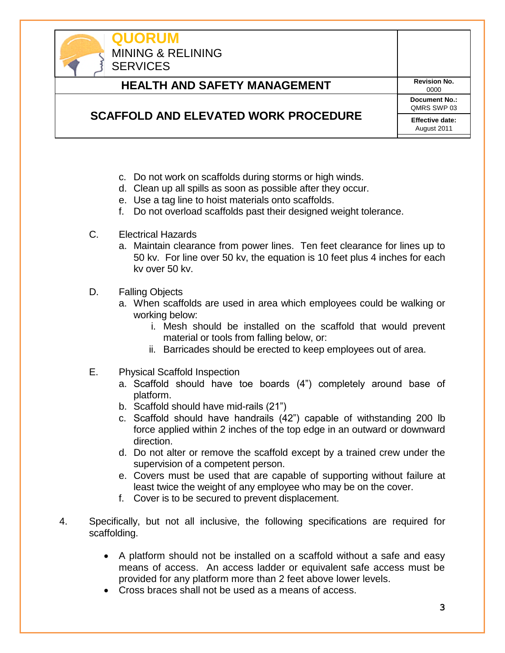

- c. Do not work on scaffolds during storms or high winds.
- d. Clean up all spills as soon as possible after they occur.
- e. Use a tag line to hoist materials onto scaffolds.
- f. Do not overload scaffolds past their designed weight tolerance.
- C. Electrical Hazards
	- a. Maintain clearance from power lines. Ten feet clearance for lines up to 50 kv. For line over 50 kv, the equation is 10 feet plus 4 inches for each kv over 50 kv.
- D. Falling Objects
	- a. When scaffolds are used in area which employees could be walking or working below:
		- i. Mesh should be installed on the scaffold that would prevent material or tools from falling below, or:
		- ii. Barricades should be erected to keep employees out of area.
- E. Physical Scaffold Inspection
	- a. Scaffold should have toe boards (4") completely around base of platform.
	- b. Scaffold should have mid-rails (21")
	- c. Scaffold should have handrails (42") capable of withstanding 200 lb force applied within 2 inches of the top edge in an outward or downward direction.
	- d. Do not alter or remove the scaffold except by a trained crew under the supervision of a competent person.
	- e. Covers must be used that are capable of supporting without failure at least twice the weight of any employee who may be on the cover.
	- f. Cover is to be secured to prevent displacement.
- 4. Specifically, but not all inclusive, the following specifications are required for scaffolding.
	- A platform should not be installed on a scaffold without a safe and easy means of access. An access ladder or equivalent safe access must be provided for any platform more than 2 feet above lower levels.
	- Cross braces shall not be used as a means of access.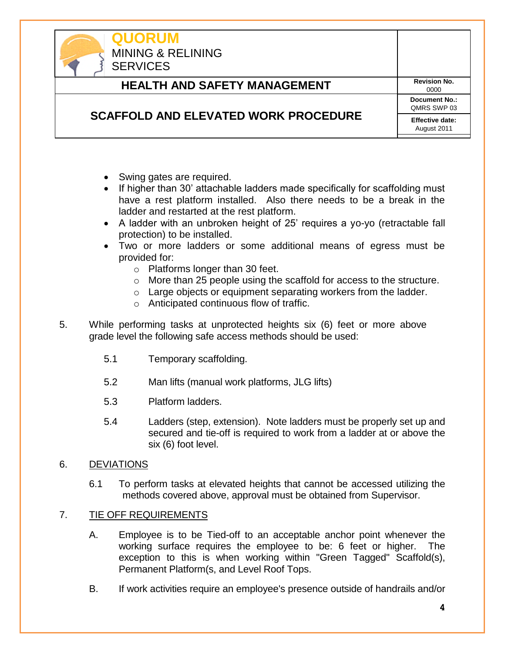

**QUORUM** MINING & RELINING **SERVICES** 

# **HEALTH AND SAFETY MANAGEMENT** Revision No.

0000 **Document No.:** QMRS SWP 03 **Effective date:** August 2011

### **SCAFFOLD AND ELEVATED WORK PROCEDURE**

- Swing gates are required.
- If higher than 30' attachable ladders made specifically for scaffolding must have a rest platform installed. Also there needs to be a break in the ladder and restarted at the rest platform.
- A ladder with an unbroken height of 25' requires a yo-yo (retractable fall protection) to be installed.
- Two or more ladders or some additional means of egress must be provided for:
	- o Platforms longer than 30 feet.
	- o More than 25 people using the scaffold for access to the structure.
	- o Large objects or equipment separating workers from the ladder.
	- o Anticipated continuous flow of traffic.
- 5. While performing tasks at unprotected heights six (6) feet or more above grade level the following safe access methods should be used:
	- 5.1 Temporary scaffolding.
	- 5.2 Man lifts (manual work platforms, JLG lifts)
	- 5.3 Platform ladders.
	- 5.4 Ladders (step, extension). Note ladders must be properly set up and secured and tie-off is required to work from a ladder at or above the six (6) foot level.
- 6. DEVIATIONS
	- 6.1 To perform tasks at elevated heights that cannot be accessed utilizing the methods covered above, approval must be obtained from Supervisor.

#### 7. TIE OFF REQUIREMENTS

- A. Employee is to be Tied-off to an acceptable anchor point whenever the working surface requires the employee to be: 6 feet or higher. The exception to this is when working within "Green Tagged" Scaffold(s), Permanent Platform(s, and Level Roof Tops.
- B. If work activities require an employee's presence outside of handrails and/or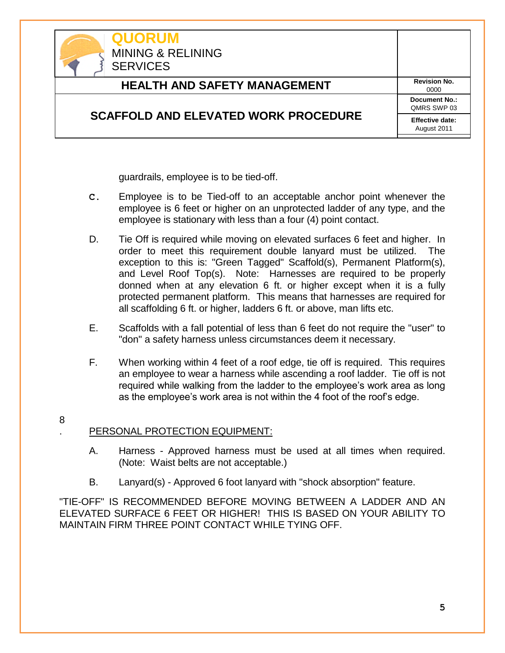| <b>QUORUM</b><br><b>MINING &amp; RELINING</b><br><b>SERVICES</b> |                                       |
|------------------------------------------------------------------|---------------------------------------|
| <b>HEALTH AND SAFETY MANAGEMENT</b>                              | <b>Revision No.</b><br>0000           |
|                                                                  | Document No.:<br>QMRS SWP 03          |
| <b>SCAFFOLD AND ELEVATED WORK PROCEDURE</b>                      | <b>Effective date:</b><br>August 2011 |

guardrails, employee is to be tied-off.

- **C.** Employee is to be Tied-off to an acceptable anchor point whenever the employee is 6 feet or higher on an unprotected ladder of any type, and the employee is stationary with less than a four (4) point contact.
- D. Tie Off is required while moving on elevated surfaces 6 feet and higher. In order to meet this requirement double lanyard must be utilized. The exception to this is: "Green Tagged" Scaffold(s), Permanent Platform(s), and Level Roof Top(s). Note: Harnesses are required to be properly donned when at any elevation 6 ft. or higher except when it is a fully protected permanent platform. This means that harnesses are required for all scaffolding 6 ft. or higher, ladders 6 ft. or above, man lifts etc.
- E. Scaffolds with a fall potential of less than 6 feet do not require the "user" to "don" a safety harness unless circumstances deem it necessary.
- F. When working within 4 feet of a roof edge, tie off is required. This requires an employee to wear a harness while ascending a roof ladder. Tie off is not required while walking from the ladder to the employee's work area as long as the employee's work area is not within the 4 foot of the roof's edge.

#### 8

### . PERSONAL PROTECTION EQUIPMENT:

- A. Harness Approved harness must be used at all times when required. (Note: Waist belts are not acceptable.)
- B. Lanyard(s) Approved 6 foot lanyard with "shock absorption" feature.

"TIE-OFF" IS RECOMMENDED BEFORE MOVING BETWEEN A LADDER AND AN ELEVATED SURFACE 6 FEET OR HIGHER! THIS IS BASED ON YOUR ABILITY TO MAINTAIN FIRM THREE POINT CONTACT WHILE TYING OFF.